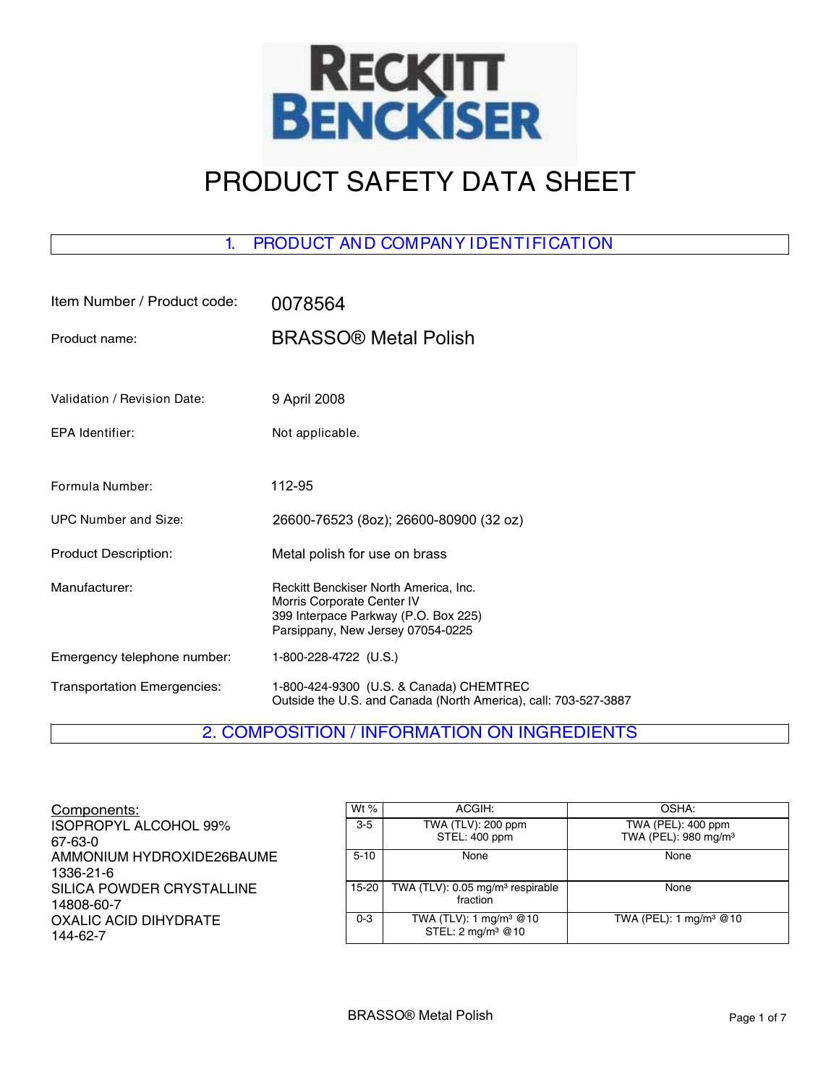

# PRODUCT SAFETY DATA SHEET

# 1. PRODUCT AND COMPANY IDENTIFICATION

| Item Number / Product code:        | 0078564                                                                                                                                          |
|------------------------------------|--------------------------------------------------------------------------------------------------------------------------------------------------|
| Product name:                      | <b>BRASSO® Metal Polish</b>                                                                                                                      |
|                                    |                                                                                                                                                  |
| Validation / Revision Date:        | 9 April 2008                                                                                                                                     |
| EPA Identifier:                    | Not applicable.                                                                                                                                  |
|                                    |                                                                                                                                                  |
| Formula Number:                    | 112-95                                                                                                                                           |
| <b>UPC Number and Size:</b>        | 26600-76523 (8oz); 26600-80900 (32 oz)                                                                                                           |
| <b>Product Description:</b>        | Metal polish for use on brass                                                                                                                    |
| Manufacturer:                      | Reckitt Benckiser North America, Inc.<br>Morris Corporate Center IV<br>399 Interpace Parkway (P.O. Box 225)<br>Parsippany, New Jersey 07054-0225 |
| Emergency telephone number:        | 1-800-228-4722 (U.S.)                                                                                                                            |
| <b>Transportation Emergencies:</b> | 1-800-424-9300 (U.S. & Canada) CHEMTREC<br>Outside the U.S. and Canada (North America), call: 703-527-3887                                       |

# 2. COMPOSITION / INFORMATION ON INGREDIENTS

Components: ISOPROPYL ALCOHOL 99% 67-63-0 AMMONIUM HYDROXIDE26BAUME 1336-21-6 SILICA POWDER CRYSTALLINE 14808-60-7 OXALIC ACID DIHYDRATE 144-62-7

| Wt $%$   | ACGIH:                                                              | OSHA:                                                  |
|----------|---------------------------------------------------------------------|--------------------------------------------------------|
| $3-5$    | TWA (TLV): 200 ppm<br>STEL: 400 ppm                                 | TWA (PEL): 400 ppm<br>TWA (PEL): 980 mg/m <sup>3</sup> |
| $5 - 10$ | None                                                                | None                                                   |
| 15-20    | TWA (TLV): 0.05 mg/m <sup>3</sup> respirable<br>fraction            | None                                                   |
| $0 - 3$  | TWA (TLV): 1 mg/m <sup>3</sup> @10<br>STEL: 2 mg/m <sup>3</sup> @10 | TWA (PEL): 1 mg/m <sup>3</sup> @10                     |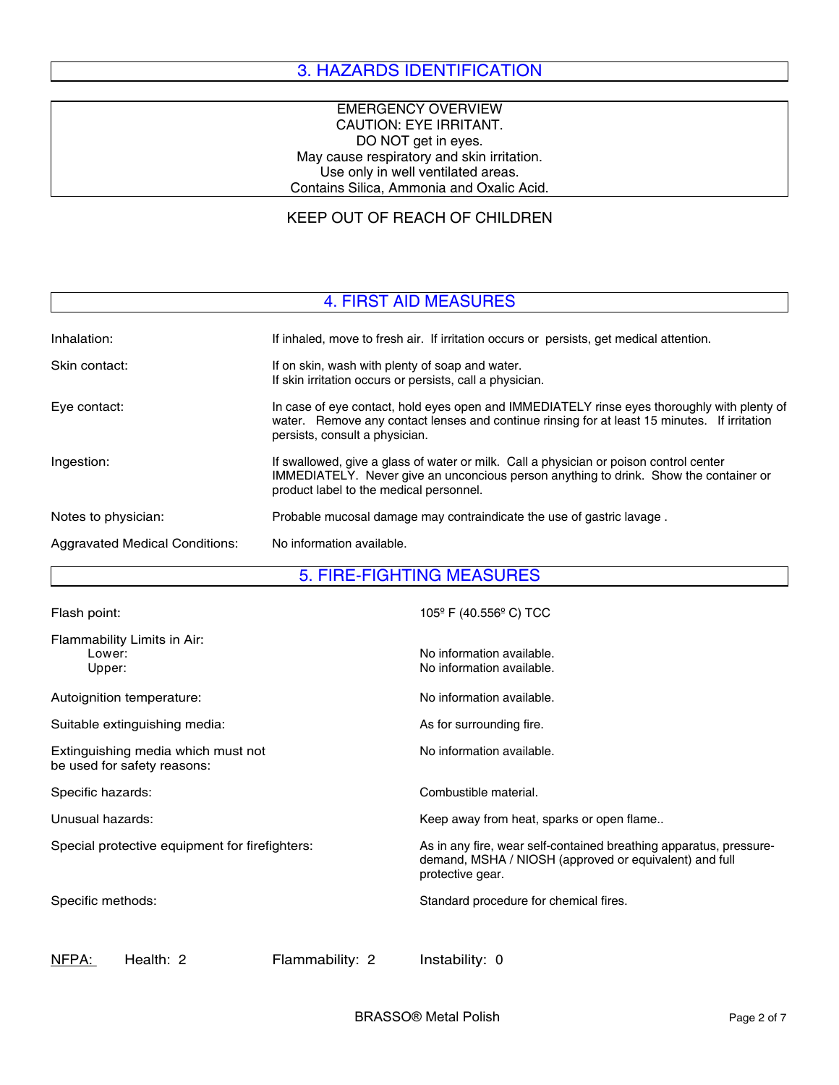# 3. HAZARDS IDENTIFICATION

#### EMERGENCY OVERVIEW CAUTION: EYE IRRITANT. DO NOT get in eyes. May cause respiratory and skin irritation. Use only in well ventilated areas. Contains Silica, Ammonia and Oxalic Acid.

## KEEP OUT OF REACH OF CHILDREN

### 4. FIRST AID MEASURES

| Inhalation:                    | If inhaled, move to fresh air. If irritation occurs or persists, get medical attention.                                                                                                                                       |
|--------------------------------|-------------------------------------------------------------------------------------------------------------------------------------------------------------------------------------------------------------------------------|
| Skin contact:                  | If on skin, wash with plenty of soap and water.<br>If skin irritation occurs or persists, call a physician.                                                                                                                   |
| Eye contact:                   | In case of eye contact, hold eyes open and IMMEDIATELY rinse eyes thoroughly with plenty of<br>water. Remove any contact lenses and continue rinsing for at least 15 minutes. If irritation<br>persists, consult a physician. |
| Ingestion:                     | If swallowed, give a glass of water or milk. Call a physician or poison control center<br>IMMEDIATELY. Never give an unconcious person anything to drink. Show the container or<br>product label to the medical personnel.    |
| Notes to physician:            | Probable mucosal damage may contraindicate the use of gastric lavage.                                                                                                                                                         |
| Aggravated Medical Conditions: | No information available.                                                                                                                                                                                                     |

#### 5. FIRE-FIGHTING MEASURES

| Flash point:                                                      | $105^{\circ}$ F (40.556 $^{\circ}$ C) TCC                                                                                                        |
|-------------------------------------------------------------------|--------------------------------------------------------------------------------------------------------------------------------------------------|
| Flammability Limits in Air:<br>Lower:<br>Upper:                   | No information available.<br>No information available.                                                                                           |
| Autoignition temperature:                                         | No information available.                                                                                                                        |
| Suitable extinguishing media:                                     | As for surrounding fire.                                                                                                                         |
| Extinguishing media which must not<br>be used for safety reasons: | No information available.                                                                                                                        |
| Specific hazards:                                                 | Combustible material.                                                                                                                            |
| Unusual hazards:                                                  | Keep away from heat, sparks or open flame                                                                                                        |
| Special protective equipment for firefighters:                    | As in any fire, wear self-contained breathing apparatus, pressure-<br>demand, MSHA / NIOSH (approved or equivalent) and full<br>protective gear. |
| Specific methods:                                                 | Standard procedure for chemical fires.                                                                                                           |
|                                                                   |                                                                                                                                                  |

NFPA: Health: 2 Flammability: 2 Instability: 0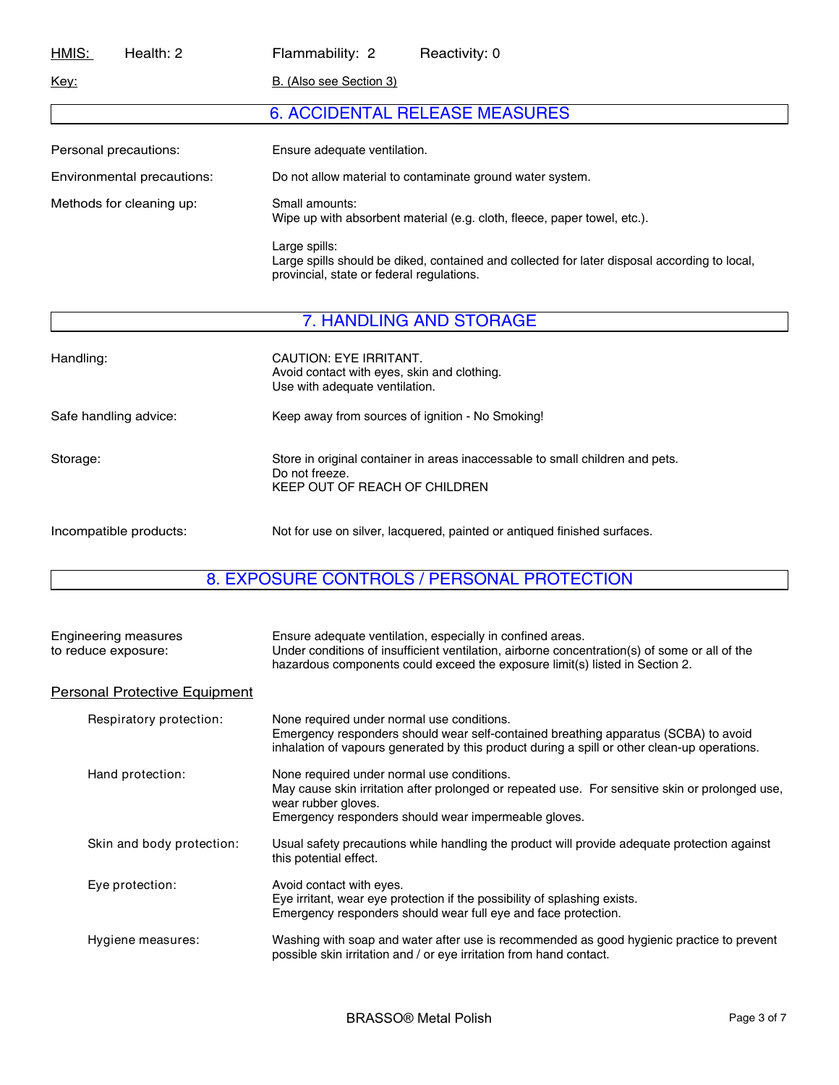| HMIS:                    | Health: 2                  | Flammability: 2                                                                            | Reactivity: 0                                                                                |
|--------------------------|----------------------------|--------------------------------------------------------------------------------------------|----------------------------------------------------------------------------------------------|
| <u>Key:</u>              |                            | B. (Also see Section 3)                                                                    |                                                                                              |
|                          |                            |                                                                                            | <b>6. ACCIDENTAL RELEASE MEASURES</b>                                                        |
| Personal precautions:    |                            | Ensure adequate ventilation.                                                               |                                                                                              |
|                          | Environmental precautions: | Do not allow material to contaminate ground water system.                                  |                                                                                              |
| Methods for cleaning up: |                            | Small amounts:<br>Wipe up with absorbent material (e.g. cloth, fleece, paper towel, etc.). |                                                                                              |
|                          |                            | Large spills:<br>provincial, state or federal regulations.                                 | Large spills should be diked, contained and collected for later disposal according to local, |
|                          |                            |                                                                                            | 7. HANDLING AND STORAGE                                                                      |

| Handling:              | CAUTION: EYE IRRITANT.<br>Avoid contact with eyes, skin and clothing.<br>Use with adequate ventilation.                          |
|------------------------|----------------------------------------------------------------------------------------------------------------------------------|
| Safe handling advice:  | Keep away from sources of ignition - No Smoking!                                                                                 |
| Storage:               | Store in original container in areas inaccessable to small children and pets.<br>Do not freeze.<br>KEEP OUT OF REACH OF CHILDREN |
| Incompatible products: | Not for use on silver, lacquered, painted or antiqued finished surfaces.                                                         |

# 8. EXPOSURE CONTROLS / PERSONAL PROTECTION

| <b>Engineering measures</b><br>to reduce exposure: | Ensure adequate ventilation, especially in confined areas.<br>Under conditions of insufficient ventilation, airborne concentration(s) of some or all of the<br>hazardous components could exceed the exposure limit(s) listed in Section 2. |
|----------------------------------------------------|---------------------------------------------------------------------------------------------------------------------------------------------------------------------------------------------------------------------------------------------|
| <b>Personal Protective Equipment</b>               |                                                                                                                                                                                                                                             |
| Respiratory protection:                            | None required under normal use conditions.<br>Emergency responders should wear self-contained breathing apparatus (SCBA) to avoid<br>inhalation of vapours generated by this product during a spill or other clean-up operations.           |
| Hand protection:                                   | None required under normal use conditions.<br>May cause skin irritation after prolonged or repeated use. For sensitive skin or prolonged use,<br>wear rubber gloves.<br>Emergency responders should wear impermeable gloves.                |
| Skin and body protection:                          | Usual safety precautions while handling the product will provide adequate protection against<br>this potential effect.                                                                                                                      |
| Eye protection:                                    | Avoid contact with eyes.<br>Eye irritant, wear eye protection if the possibility of splashing exists.<br>Emergency responders should wear full eye and face protection.                                                                     |
| Hygiene measures:                                  | Washing with soap and water after use is recommended as good hygienic practice to prevent<br>possible skin irritation and / or eye irritation from hand contact.                                                                            |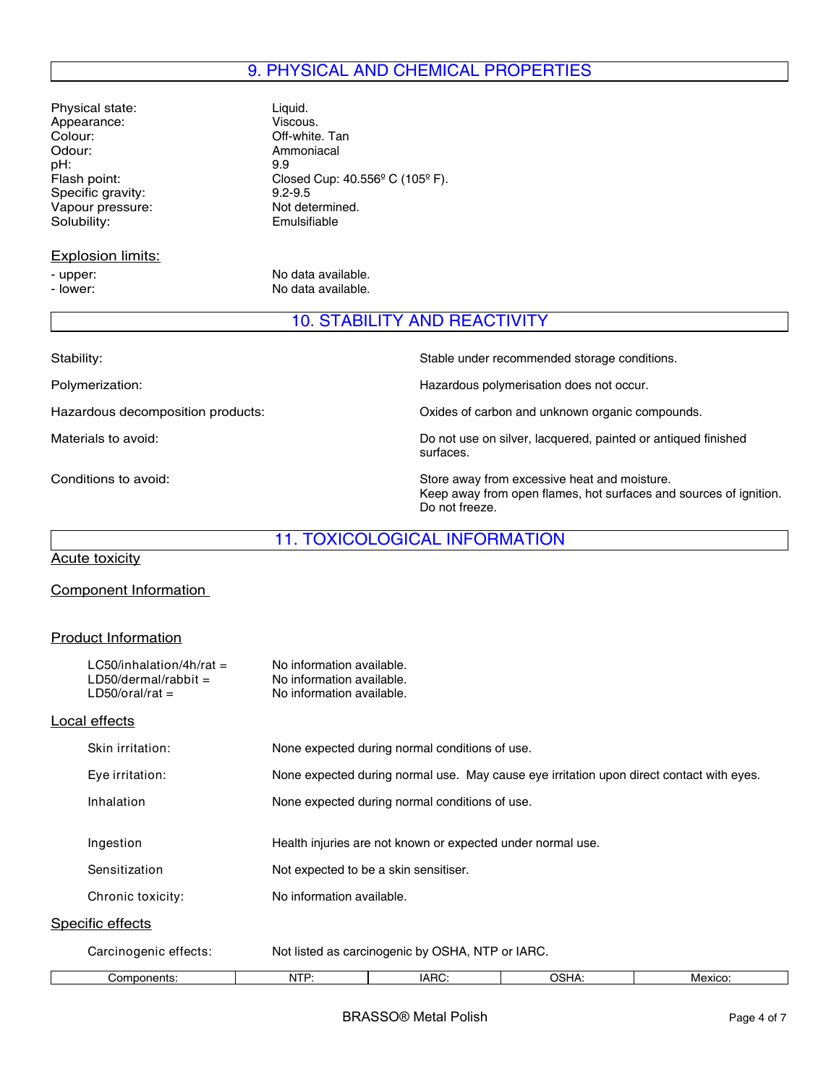# 9. PHYSICAL AND CHEMICAL PROPERTIES

Physical state: Liquid.<br>
Appearance: Viscous. Appearance:<br>Colour: Colour: Colour: Off-white. Tan<br>
Odour: Ammoniacal pH:<br>Flash point: Specific gravity: 9.2-9.5<br>
Vapour pressure: Not determined. Vapour pressure: Not determined.<br>Solubility: Colubility: Emulsifiable Solubility:

## Explosion limits:

Ammoniacal<br>9.9 Closed Cup:  $40.556^{\circ}$  C (105 $^{\circ}$  F).<br>9.2-9.5

- upper: No data available. - lower: No data available.

## 10. STABILITY AND REACTIVITY

| Stability:                        | Stable under recommended storage conditions.                                                                                        |
|-----------------------------------|-------------------------------------------------------------------------------------------------------------------------------------|
| Polymerization:                   | Hazardous polymerisation does not occur.                                                                                            |
| Hazardous decomposition products: | Oxides of carbon and unknown organic compounds.                                                                                     |
| Materials to avoid:               | Do not use on silver, lacquered, painted or antiqued finished<br>surfaces.                                                          |
| Conditions to avoid:              | Store away from excessive heat and moisture.<br>Keep away from open flames, hot surfaces and sources of ignition.<br>Do not freeze. |

## 11. TOXICOLOGICAL INFORMATION

Acute toxicity

#### Component Information

#### Product Information

| Local effects<br>Skin irritation:<br>None expected during normal conditions of use.<br>None expected during normal use. May cause eye irritation upon direct contact with eyes.<br>Eye irritation:<br>Inhalation<br>None expected during normal conditions of use.<br>Ingestion<br>Health injuries are not known or expected under normal use.<br>Sensitization<br>Not expected to be a skin sensitiser.<br>No information available.<br>Chronic toxicity: |                         | $LG50/inhalation/4h/rat =$<br>$LD50/dermal/rabbit =$<br>$LD50/oral/rat =$ | No information available.<br>No information available.<br>No information available. |  |  |
|------------------------------------------------------------------------------------------------------------------------------------------------------------------------------------------------------------------------------------------------------------------------------------------------------------------------------------------------------------------------------------------------------------------------------------------------------------|-------------------------|---------------------------------------------------------------------------|-------------------------------------------------------------------------------------|--|--|
|                                                                                                                                                                                                                                                                                                                                                                                                                                                            |                         |                                                                           |                                                                                     |  |  |
|                                                                                                                                                                                                                                                                                                                                                                                                                                                            |                         |                                                                           |                                                                                     |  |  |
|                                                                                                                                                                                                                                                                                                                                                                                                                                                            |                         |                                                                           |                                                                                     |  |  |
|                                                                                                                                                                                                                                                                                                                                                                                                                                                            |                         |                                                                           |                                                                                     |  |  |
|                                                                                                                                                                                                                                                                                                                                                                                                                                                            |                         |                                                                           |                                                                                     |  |  |
|                                                                                                                                                                                                                                                                                                                                                                                                                                                            |                         |                                                                           |                                                                                     |  |  |
|                                                                                                                                                                                                                                                                                                                                                                                                                                                            |                         |                                                                           |                                                                                     |  |  |
|                                                                                                                                                                                                                                                                                                                                                                                                                                                            |                         |                                                                           |                                                                                     |  |  |
|                                                                                                                                                                                                                                                                                                                                                                                                                                                            | <b>Specific effects</b> |                                                                           |                                                                                     |  |  |
| Carcinogenic effects:<br>Not listed as carcinogenic by OSHA, NTP or IARC.                                                                                                                                                                                                                                                                                                                                                                                  |                         |                                                                           |                                                                                     |  |  |
| NTP:<br>OSHA:<br>IARC:<br>Mexico:<br>Components:                                                                                                                                                                                                                                                                                                                                                                                                           |                         |                                                                           |                                                                                     |  |  |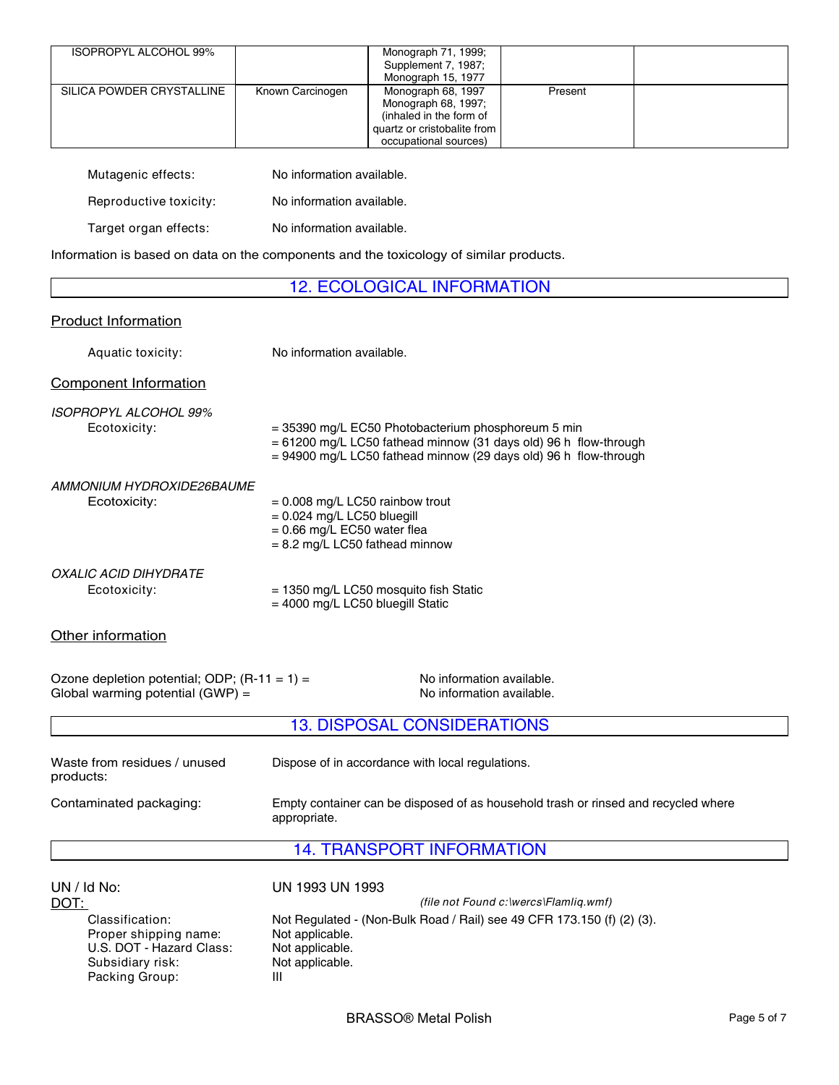| ISOPROPYL ALCOHOL 99%     |                  | Monograph 71, 1999;<br>Supplement 7, 1987;<br>Monograph 15, 1977                                                             |         |  |
|---------------------------|------------------|------------------------------------------------------------------------------------------------------------------------------|---------|--|
| SILICA POWDER CRYSTALLINE | Known Carcinogen | Monograph 68, 1997<br>Monograph 68, 1997;<br>(inhaled in the form of<br>quartz or cristobalite from<br>occupational sources) | Present |  |

| Mutagenic effects:     | No information available. |
|------------------------|---------------------------|
| Reproductive toxicity: | No information available. |
| Target organ effects:  | No information available. |

Information is based on data on the components and the toxicology of similar products.

#### 12. ECOLOGICAL INFORMATION

# Product Information Aquatic toxicity: No information available. Component Information Other information Ozone depletion potential; ODP;  $(R-11 = 1) =$  No information available. Global warming potential  $(GWP) =$  No information available. 13. DISPOSAL CONSIDERATIONS Waste from residues / unused products: Dispose of in accordance with local regulations. Contaminated packaging: Empty container can be disposed of as household trash or rinsed and recycled where appropriate. 14. TRANSPORT INFORMATION UN / Id No: UN 1993 UN 1993 Classification: Not Regulated - (Non-Bulk Road / Rail) see 49 CFR 173.150 (f) (2) (3).<br>Proper shipping name: Not applicable. Proper shipping name: Not applicable.<br>U.S. DOT - Hazard Class: Not applicable. U.S. DOT - Hazard Class: Subsidiary risk: Not applicable. Packing Group: III *ISOPROPYL ALCOHOL 99%* Ecotoxicity:  $= 1350$  mg/L LC50 mosquito fish Static = 4000 mg/L LC50 bluegill Static *AMMONIUM HYDROXIDE26BAUME* Ecotoxicity: DOT: *(file not Found c:\wercs\Flamliq.wmf)*  $Ecotoxicity:$  = 0.008 mg/L LC50 rainbow trout = 0.024 mg/L LC50 bluegill  $= 0.66$  mg/L EC50 water flea = 8.2 mg/L LC50 fathead minnow = 35390 mg/L EC50 Photobacterium phosphoreum 5 min = 61200 mg/L LC50 fathead minnow (31 days old) 96 h flow-through = 94900 mg/L LC50 fathead minnow (29 days old) 96 h flow-through *OXALIC ACID DIHYDRATE*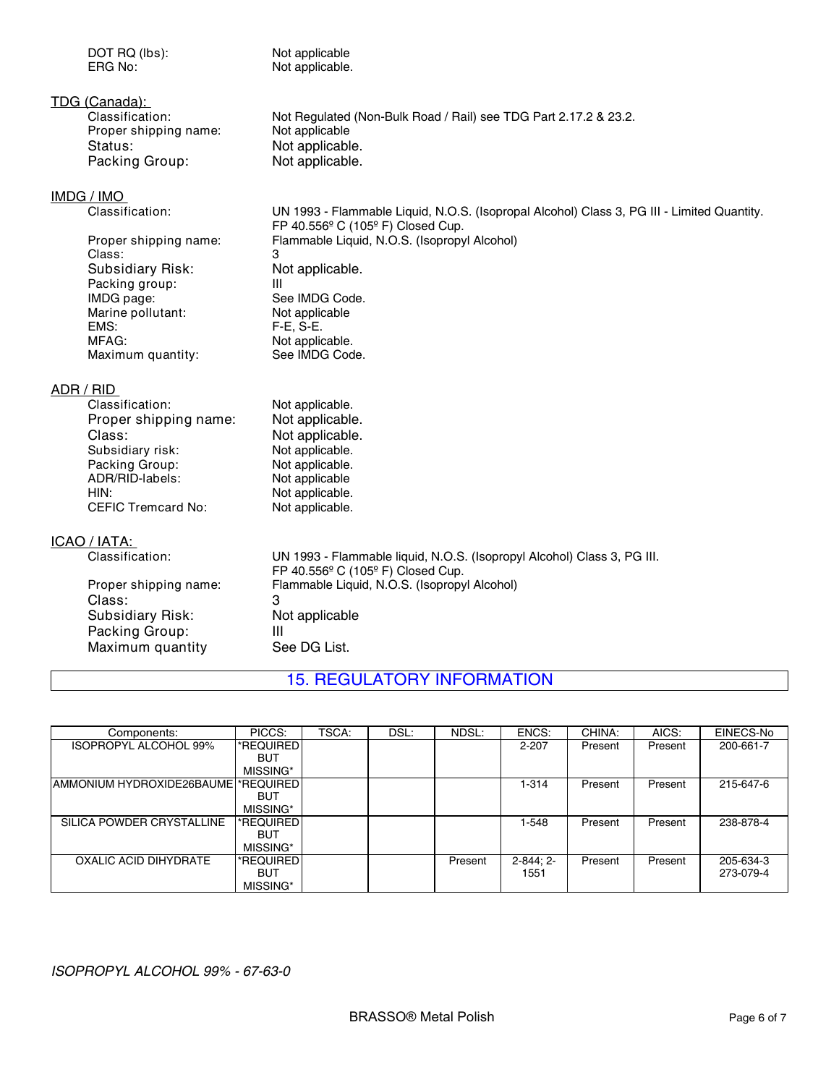DOT RQ (lbs):<br>
ERG No: 
Not applicable. Not applicable. TDG (Canada):<br>Classification: Not Regulated (Non-Bulk Road / Rail) see TDG Part 2.17.2 & 23.2. Proper shipping name: Not applicable Status: Not applicable.<br>
Packing Group: Not applicable. Packing Group: IMDG / IMO<br>Classification: UN 1993 - Flammable Liquid, N.O.S. (Isopropal Alcohol) Class 3, PG III - Limited Quantity.

FP 40.556º C (105º F) Closed Cup. Proper shipping name: Flammable Liquid, N.O.S. (Isopropyl Alcohol) Class: 3 Subsidiary Risk: Not applicable. Packing group: III See IMDG Code.<br>Not applicable Marine pollutant:<br>EMS: ends:<br>EMS: F-E, S-E.<br>MFAG: Not applic Not applicable.<br>See IMDG Code. Maximum quantity:

#### ADR / RID

| Classification:           | Not applicable. |
|---------------------------|-----------------|
| Proper shipping name:     | Not applicable. |
| Class:                    | Not applicable. |
| Subsidiary risk:          | Not applicable. |
| Packing Group:            | Not applicable. |
| ADR/RID-labels:           | Not applicable  |
| HIN:                      | Not applicable. |
| <b>CEFIC Tremcard No:</b> | Not applicable. |

#### ICAO / IATA:

| Classification:       | UN 1993 - Flammable liquid, N.O.S. (Isopropyl Alcohol) Class 3, PG III. |  |  |  |  |  |
|-----------------------|-------------------------------------------------------------------------|--|--|--|--|--|
|                       | FP 40.556 $\degree$ C (105 $\degree$ F) Closed Cup.                     |  |  |  |  |  |
| Proper shipping name: | Flammable Liquid, N.O.S. (Isopropyl Alcohol)                            |  |  |  |  |  |
| Class:                | З                                                                       |  |  |  |  |  |
| Subsidiary Risk:      | Not applicable                                                          |  |  |  |  |  |
| Packing Group:        |                                                                         |  |  |  |  |  |
| Maximum quantity      | See DG List.                                                            |  |  |  |  |  |

# 15. REGULATORY INFORMATION

| Components:                         | PICCS:     | TSCA: | DSL: | NDSL:   | ENCS:         | CHINA:  | AICS:   | EINECS-No |
|-------------------------------------|------------|-------|------|---------|---------------|---------|---------|-----------|
| ISOPROPYL ALCOHOL 99%               | *REQUIRED  |       |      |         | 2-207         | Present | Present | 200-661-7 |
|                                     | <b>BUT</b> |       |      |         |               |         |         |           |
|                                     | MISSING*   |       |      |         |               |         |         |           |
| AMMONIUM HYDROXIDE26BAUME *REQUIRED |            |       |      |         | 1-314         | Present | Present | 215-647-6 |
|                                     | BUT        |       |      |         |               |         |         |           |
|                                     | MISSING*   |       |      |         |               |         |         |           |
| SILICA POWDER CRYSTALLINE           | *REQUIRED  |       |      |         | 1-548         | Present | Present | 238-878-4 |
|                                     | BUT        |       |      |         |               |         |         |           |
|                                     | MISSING*   |       |      |         |               |         |         |           |
| OXALIC ACID DIHYDRATE               | *REQUIRED  |       |      | Present | $2 - 844:2 -$ | Present | Present | 205-634-3 |
|                                     | BUT        |       |      |         | 1551          |         |         | 273-079-4 |
|                                     | MISSING*   |       |      |         |               |         |         |           |